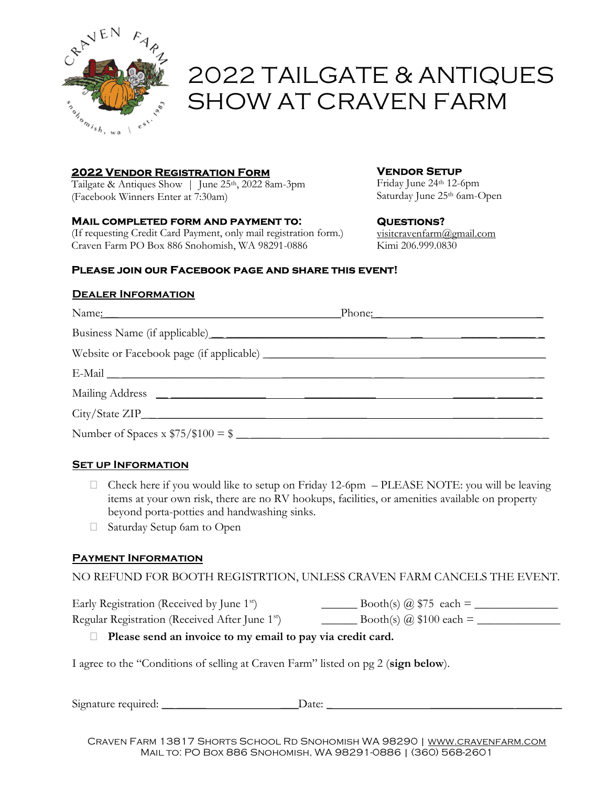

# 2022 TAILGATE & ANTIQUES SHOW AT CRAVEN FARM

## 2022 Vendor Registration Form

Tailgate & Antiques Show | June 25<sup>th</sup>, 2022 8am-3pm (Facebook Winners Enter at 7:30am)

#### Mail completed form and payment to:

(If requesting Credit Card Payment, only mail registration form.) Craven Farm PO Box 886 Snohomish, WA 98291-0886

## Vendor Setup

Friday June 24th 12-6pm Saturday June 25<sup>th</sup> 6am-Open

#### Questions?

visitcravenfarm@gmail.com Kimi 206.999.0830

#### Please join our Facebook page and share this event!

#### Dealer Information

|                                                           | Phone: |
|-----------------------------------------------------------|--------|
|                                                           |        |
|                                                           |        |
|                                                           |        |
|                                                           |        |
|                                                           |        |
| Number of Spaces x $\frac{$75}{\$100} = \frac{1}{\$2000}$ |        |

## **SET UP INFORMATION**

- $\Box$  Check here if you would like to setup on Friday 12-6pm PLEASE NOTE: you will be leaving items at your own risk, there are no RV hookups, facilities, or amenities available on property beyond porta-potties and handwashing sinks.
- Saturday Setup 6am to Open

## Payment Information

## NO REFUND FOR BOOTH REGISTRTION, UNLESS CRAVEN FARM CANCELS THE EVENT.

Early Registration (Received by June 1st) \_\_\_\_\_\_ Booth(s) @ \$75 each = \_\_\_\_\_\_\_\_\_\_\_\_\_\_ Regular Registration (Received After June 1<sup>st</sup>)  $\qquad \qquad \qquad$  Booth(s)  $\omega$  \$100 each =

## $\Box$  Please send an invoice to my email to pay via credit card.

I agree to the "Conditions of selling at Craven Farm" listed on pg 2 (sign below).

Signature required: \_\_ \_\_\_\_\_ \_\_\_Date: \_ \_\_\_\_\_\_\_\_\_\_\_\_\_\_ \_\_\_\_\_\_ \_